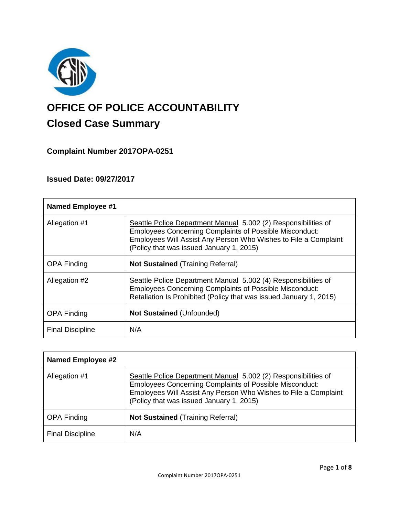

# **OFFICE OF POLICE ACCOUNTABILITY**

# **Closed Case Summary**

## **Complaint Number 2017OPA-0251**

## **Issued Date: 09/27/2017**

| <b>Named Employee #1</b> |                                                                                                                                                                                                                                                 |
|--------------------------|-------------------------------------------------------------------------------------------------------------------------------------------------------------------------------------------------------------------------------------------------|
| Allegation #1            | Seattle Police Department Manual 5.002 (2) Responsibilities of<br><b>Employees Concerning Complaints of Possible Misconduct:</b><br>Employees Will Assist Any Person Who Wishes to File a Complaint<br>(Policy that was issued January 1, 2015) |
| <b>OPA Finding</b>       | <b>Not Sustained (Training Referral)</b>                                                                                                                                                                                                        |
| Allegation #2            | Seattle Police Department Manual 5.002 (4) Responsibilities of<br><b>Employees Concerning Complaints of Possible Misconduct:</b><br>Retaliation Is Prohibited (Policy that was issued January 1, 2015)                                          |
| <b>OPA Finding</b>       | <b>Not Sustained (Unfounded)</b>                                                                                                                                                                                                                |
| <b>Final Discipline</b>  | N/A                                                                                                                                                                                                                                             |

| <b>Named Employee #2</b> |                                                                                                                                                                                                                                                 |
|--------------------------|-------------------------------------------------------------------------------------------------------------------------------------------------------------------------------------------------------------------------------------------------|
| Allegation #1            | Seattle Police Department Manual 5.002 (2) Responsibilities of<br><b>Employees Concerning Complaints of Possible Misconduct:</b><br>Employees Will Assist Any Person Who Wishes to File a Complaint<br>(Policy that was issued January 1, 2015) |
| <b>OPA Finding</b>       | <b>Not Sustained (Training Referral)</b>                                                                                                                                                                                                        |
| <b>Final Discipline</b>  | N/A                                                                                                                                                                                                                                             |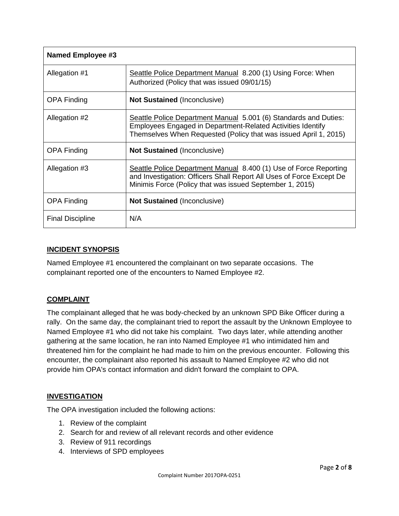| Named Employee #3       |                                                                                                                                                                                                       |
|-------------------------|-------------------------------------------------------------------------------------------------------------------------------------------------------------------------------------------------------|
| Allegation #1           | Seattle Police Department Manual 8.200 (1) Using Force: When<br>Authorized (Policy that was issued 09/01/15)                                                                                          |
| <b>OPA Finding</b>      | <b>Not Sustained (Inconclusive)</b>                                                                                                                                                                   |
| Allegation #2           | Seattle Police Department Manual 5.001 (6) Standards and Duties:<br>Employees Engaged in Department-Related Activities Identify<br>Themselves When Requested (Policy that was issued April 1, 2015)   |
| <b>OPA Finding</b>      | <b>Not Sustained (Inconclusive)</b>                                                                                                                                                                   |
| Allegation #3           | Seattle Police Department Manual 8.400 (1) Use of Force Reporting<br>and Investigation: Officers Shall Report All Uses of Force Except De<br>Minimis Force (Policy that was issued September 1, 2015) |
| <b>OPA Finding</b>      | <b>Not Sustained (Inconclusive)</b>                                                                                                                                                                   |
| <b>Final Discipline</b> | N/A                                                                                                                                                                                                   |

#### **INCIDENT SYNOPSIS**

Named Employee #1 encountered the complainant on two separate occasions. The complainant reported one of the encounters to Named Employee #2.

#### **COMPLAINT**

The complainant alleged that he was body-checked by an unknown SPD Bike Officer during a rally. On the same day, the complainant tried to report the assault by the Unknown Employee to Named Employee #1 who did not take his complaint. Two days later, while attending another gathering at the same location, he ran into Named Employee #1 who intimidated him and threatened him for the complaint he had made to him on the previous encounter. Following this encounter, the complainant also reported his assault to Named Employee #2 who did not provide him OPA's contact information and didn't forward the complaint to OPA.

#### **INVESTIGATION**

The OPA investigation included the following actions:

- 1. Review of the complaint
- 2. Search for and review of all relevant records and other evidence
- 3. Review of 911 recordings
- 4. Interviews of SPD employees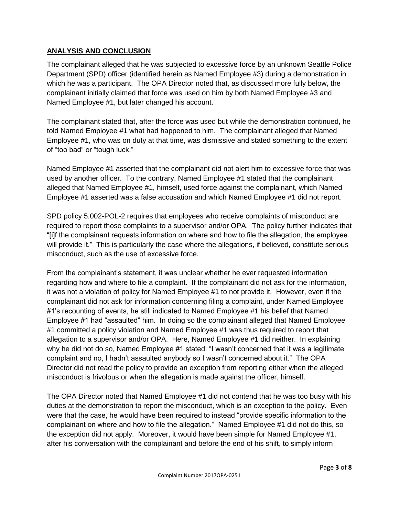#### **ANALYSIS AND CONCLUSION**

The complainant alleged that he was subjected to excessive force by an unknown Seattle Police Department (SPD) officer (identified herein as Named Employee #3) during a demonstration in which he was a participant. The OPA Director noted that, as discussed more fully below, the complainant initially claimed that force was used on him by both Named Employee #3 and Named Employee #1, but later changed his account.

The complainant stated that, after the force was used but while the demonstration continued, he told Named Employee #1 what had happened to him. The complainant alleged that Named Employee #1, who was on duty at that time, was dismissive and stated something to the extent of "too bad" or "tough luck."

Named Employee #1 asserted that the complainant did not alert him to excessive force that was used by another officer. To the contrary, Named Employee #1 stated that the complainant alleged that Named Employee #1, himself, used force against the complainant, which Named Employee #1 asserted was a false accusation and which Named Employee #1 did not report.

SPD policy 5.002-POL-2 requires that employees who receive complaints of misconduct are required to report those complaints to a supervisor and/or OPA. The policy further indicates that "[i]f the complainant requests information on where and how to file the allegation, the employee will provide it." This is particularly the case where the allegations, if believed, constitute serious misconduct, such as the use of excessive force.

From the complainant's statement, it was unclear whether he ever requested information regarding how and where to file a complaint. If the complainant did not ask for the information, it was not a violation of policy for Named Employee #1 to not provide it. However, even if the complainant did not ask for information concerning filing a complaint, under Named Employee #1's recounting of events, he still indicated to Named Employee #1 his belief that Named Employee #1 had "assaulted" him. In doing so the complainant alleged that Named Employee #1 committed a policy violation and Named Employee #1 was thus required to report that allegation to a supervisor and/or OPA. Here, Named Employee #1 did neither. In explaining why he did not do so, Named Employee #1 stated: "I wasn't concerned that it was a legitimate complaint and no, I hadn't assaulted anybody so I wasn't concerned about it." The OPA Director did not read the policy to provide an exception from reporting either when the alleged misconduct is frivolous or when the allegation is made against the officer, himself.

The OPA Director noted that Named Employee #1 did not contend that he was too busy with his duties at the demonstration to report the misconduct, which is an exception to the policy. Even were that the case, he would have been required to instead "provide specific information to the complainant on where and how to file the allegation." Named Employee #1 did not do this, so the exception did not apply. Moreover, it would have been simple for Named Employee #1, after his conversation with the complainant and before the end of his shift, to simply inform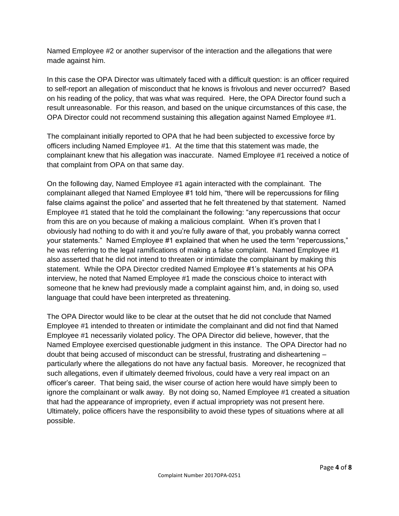Named Employee #2 or another supervisor of the interaction and the allegations that were made against him.

In this case the OPA Director was ultimately faced with a difficult question: is an officer required to self-report an allegation of misconduct that he knows is frivolous and never occurred? Based on his reading of the policy, that was what was required. Here, the OPA Director found such a result unreasonable. For this reason, and based on the unique circumstances of this case, the OPA Director could not recommend sustaining this allegation against Named Employee #1.

The complainant initially reported to OPA that he had been subjected to excessive force by officers including Named Employee #1. At the time that this statement was made, the complainant knew that his allegation was inaccurate. Named Employee #1 received a notice of that complaint from OPA on that same day.

On the following day, Named Employee #1 again interacted with the complainant. The complainant alleged that Named Employee #1 told him, "there will be repercussions for filing false claims against the police" and asserted that he felt threatened by that statement. Named Employee #1 stated that he told the complainant the following: "any repercussions that occur from this are on you because of making a malicious complaint. When it's proven that I obviously had nothing to do with it and you're fully aware of that, you probably wanna correct your statements." Named Employee #1 explained that when he used the term "repercussions," he was referring to the legal ramifications of making a false complaint. Named Employee #1 also asserted that he did not intend to threaten or intimidate the complainant by making this statement. While the OPA Director credited Named Employee #1's statements at his OPA interview, he noted that Named Employee #1 made the conscious choice to interact with someone that he knew had previously made a complaint against him, and, in doing so, used language that could have been interpreted as threatening.

The OPA Director would like to be clear at the outset that he did not conclude that Named Employee #1 intended to threaten or intimidate the complainant and did not find that Named Employee #1 necessarily violated policy. The OPA Director did believe, however, that the Named Employee exercised questionable judgment in this instance. The OPA Director had no doubt that being accused of misconduct can be stressful, frustrating and disheartening – particularly where the allegations do not have any factual basis. Moreover, he recognized that such allegations, even if ultimately deemed frivolous, could have a very real impact on an officer's career. That being said, the wiser course of action here would have simply been to ignore the complainant or walk away. By not doing so, Named Employee #1 created a situation that had the appearance of impropriety, even if actual impropriety was not present here. Ultimately, police officers have the responsibility to avoid these types of situations where at all possible.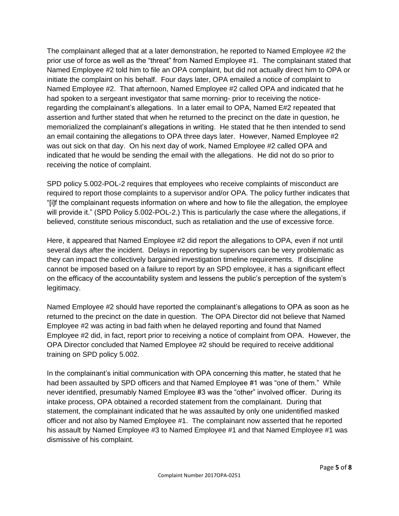The complainant alleged that at a later demonstration, he reported to Named Employee #2 the prior use of force as well as the "threat" from Named Employee #1. The complainant stated that Named Employee #2 told him to file an OPA complaint, but did not actually direct him to OPA or initiate the complaint on his behalf. Four days later, OPA emailed a notice of complaint to Named Employee #2. That afternoon, Named Employee #2 called OPA and indicated that he had spoken to a sergeant investigator that same morning- prior to receiving the noticeregarding the complainant's allegations. In a later email to OPA, Named E#2 repeated that assertion and further stated that when he returned to the precinct on the date in question, he memorialized the complainant's allegations in writing. He stated that he then intended to send an email containing the allegations to OPA three days later. However, Named Employee #2 was out sick on that day. On his next day of work, Named Employee #2 called OPA and indicated that he would be sending the email with the allegations. He did not do so prior to receiving the notice of complaint.

SPD policy 5.002-POL-2 requires that employees who receive complaints of misconduct are required to report those complaints to a supervisor and/or OPA. The policy further indicates that "[i]f the complainant requests information on where and how to file the allegation, the employee will provide it." (SPD Policy 5.002-POL-2.) This is particularly the case where the allegations, if believed, constitute serious misconduct, such as retaliation and the use of excessive force.

Here, it appeared that Named Employee #2 did report the allegations to OPA, even if not until several days after the incident. Delays in reporting by supervisors can be very problematic as they can impact the collectively bargained investigation timeline requirements. If discipline cannot be imposed based on a failure to report by an SPD employee, it has a significant effect on the efficacy of the accountability system and lessens the public's perception of the system's legitimacy.

Named Employee #2 should have reported the complainant's allegations to OPA as soon as he returned to the precinct on the date in question. The OPA Director did not believe that Named Employee #2 was acting in bad faith when he delayed reporting and found that Named Employee #2 did, in fact, report prior to receiving a notice of complaint from OPA. However, the OPA Director concluded that Named Employee #2 should be required to receive additional training on SPD policy 5.002.

In the complainant's initial communication with OPA concerning this matter, he stated that he had been assaulted by SPD officers and that Named Employee #1 was "one of them." While never identified, presumably Named Employee #3 was the "other" involved officer. During its intake process, OPA obtained a recorded statement from the complainant. During that statement, the complainant indicated that he was assaulted by only one unidentified masked officer and not also by Named Employee #1. The complainant now asserted that he reported his assault by Named Employee #3 to Named Employee #1 and that Named Employee #1 was dismissive of his complaint.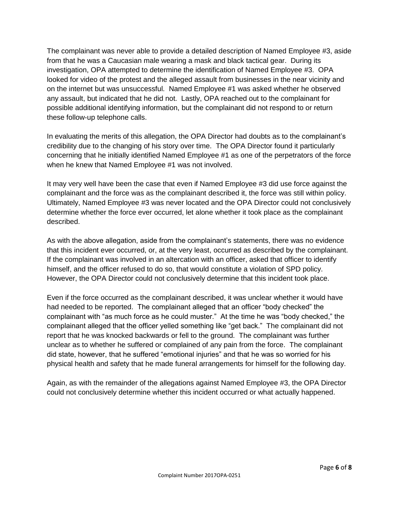The complainant was never able to provide a detailed description of Named Employee #3, aside from that he was a Caucasian male wearing a mask and black tactical gear. During its investigation, OPA attempted to determine the identification of Named Employee #3. OPA looked for video of the protest and the alleged assault from businesses in the near vicinity and on the internet but was unsuccessful. Named Employee #1 was asked whether he observed any assault, but indicated that he did not. Lastly, OPA reached out to the complainant for possible additional identifying information, but the complainant did not respond to or return these follow-up telephone calls.

In evaluating the merits of this allegation, the OPA Director had doubts as to the complainant's credibility due to the changing of his story over time. The OPA Director found it particularly concerning that he initially identified Named Employee #1 as one of the perpetrators of the force when he knew that Named Employee #1 was not involved.

It may very well have been the case that even if Named Employee #3 did use force against the complainant and the force was as the complainant described it, the force was still within policy. Ultimately, Named Employee #3 was never located and the OPA Director could not conclusively determine whether the force ever occurred, let alone whether it took place as the complainant described.

As with the above allegation, aside from the complainant's statements, there was no evidence that this incident ever occurred, or, at the very least, occurred as described by the complainant. If the complainant was involved in an altercation with an officer, asked that officer to identify himself, and the officer refused to do so, that would constitute a violation of SPD policy. However, the OPA Director could not conclusively determine that this incident took place.

Even if the force occurred as the complainant described, it was unclear whether it would have had needed to be reported. The complainant alleged that an officer "body checked" the complainant with "as much force as he could muster." At the time he was "body checked," the complainant alleged that the officer yelled something like "get back." The complainant did not report that he was knocked backwards or fell to the ground. The complainant was further unclear as to whether he suffered or complained of any pain from the force. The complainant did state, however, that he suffered "emotional injuries" and that he was so worried for his physical health and safety that he made funeral arrangements for himself for the following day.

Again, as with the remainder of the allegations against Named Employee #3, the OPA Director could not conclusively determine whether this incident occurred or what actually happened.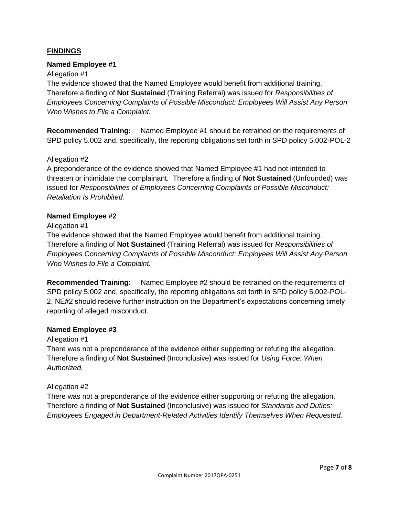#### **FINDINGS**

#### **Named Employee #1**

#### Allegation #1

The evidence showed that the Named Employee would benefit from additional training. Therefore a finding of **Not Sustained** (Training Referral) was issued for *Responsibilities of Employees Concerning Complaints of Possible Misconduct: Employees Will Assist Any Person Who Wishes to File a Complaint.*

**Recommended Training:** Named Employee #1 should be retrained on the requirements of SPD policy 5.002 and, specifically, the reporting obligations set forth in SPD policy 5.002-POL-2

#### Allegation #2

A preponderance of the evidence showed that Named Employee #1 had not intended to threaten or intimidate the complainant. Therefore a finding of **Not Sustained** (Unfounded) was issued for *Responsibilities of Employees Concerning Complaints of Possible Misconduct: Retaliation Is Prohibited.*

#### **Named Employee #2**

#### Allegation #1

The evidence showed that the Named Employee would benefit from additional training. Therefore a finding of **Not Sustained** (Training Referral) was issued for *Responsibilities of Employees Concerning Complaints of Possible Misconduct: Employees Will Assist Any Person Who Wishes to File a Complaint.*

**Recommended Training:** Named Employee #2 should be retrained on the requirements of SPD policy 5.002 and, specifically, the reporting obligations set forth in SPD policy 5.002-POL-2. NE#2 should receive further instruction on the Department's expectations concerning timely reporting of alleged misconduct.

#### **Named Employee #3**

#### Allegation #1

There was not a preponderance of the evidence either supporting or refuting the allegation. Therefore a finding of **Not Sustained** (Inconclusive) was issued for *Using Force: When Authorized.*

#### Allegation #2

There was not a preponderance of the evidence either supporting or refuting the allegation. Therefore a finding of **Not Sustained** (Inconclusive) was issued for *Standards and Duties: Employees Engaged in Department-Related Activities Identify Themselves When Requested.*